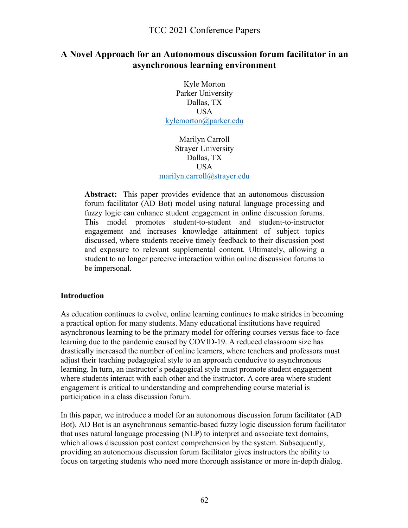## **A Novel Approach for an Autonomous discussion forum facilitator in an asynchronous learning environment**

Kyle Morton Parker University Dallas, TX **USA** kylemorton@parker.edu

Marilyn Carroll Strayer University Dallas, TX USA marilyn.carroll@strayer.edu

**Abstract:** This paper provides evidence that an autonomous discussion forum facilitator (AD Bot) model using natural language processing and fuzzy logic can enhance student engagement in online discussion forums. This model promotes student-to-student and student-to-instructor engagement and increases knowledge attainment of subject topics discussed, where students receive timely feedback to their discussion post and exposure to relevant supplemental content. Ultimately, allowing a student to no longer perceive interaction within online discussion forums to be impersonal.

#### **Introduction**

As education continues to evolve, online learning continues to make strides in becoming a practical option for many students. Many educational institutions have required asynchronous learning to be the primary model for offering courses versus face-to-face learning due to the pandemic caused by COVID-19. A reduced classroom size has drastically increased the number of online learners, where teachers and professors must adjust their teaching pedagogical style to an approach conducive to asynchronous learning. In turn, an instructor's pedagogical style must promote student engagement where students interact with each other and the instructor. A core area where student engagement is critical to understanding and comprehending course material is participation in a class discussion forum.

In this paper, we introduce a model for an autonomous discussion forum facilitator (AD Bot). AD Bot is an asynchronous semantic-based fuzzy logic discussion forum facilitator that uses natural language processing (NLP) to interpret and associate text domains, which allows discussion post context comprehension by the system. Subsequently, providing an autonomous discussion forum facilitator gives instructors the ability to focus on targeting students who need more thorough assistance or more in-depth dialog.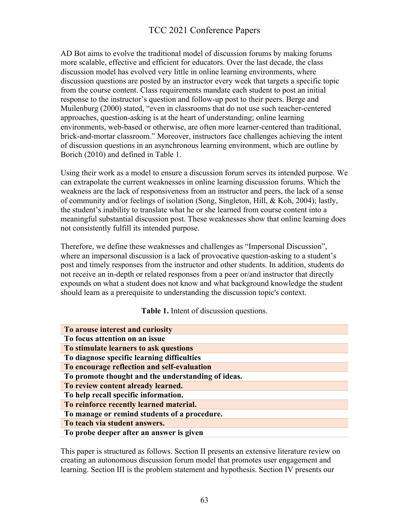AD Bot aims to evolve the traditional model of discussion forums by making forums more scalable, effective and efficient for educators. Over the last decade, the class discussion model has evolved very little in online learning environments, where discussion questions are posted by an instructor every week that targets a specific topic from the course content. Class requirements mandate each student to post an initial response to the instructor's question and follow-up post to their peers. Berge and Muilenburg (2000) stated, "even in classrooms that do not use such teacher-centered approaches, question-asking is at the heart of understanding; online learning environments, web-based or otherwise, are often more learner-centered than traditional, brick-and-mortar classroom." Moreover, instructors face challenges achieving the intent of discussion questions in an asynchronous learning environment, which are outline by Borich (2010) and defined in Table 1.

Using their work as a model to ensure a discussion forum serves its intended purpose. We can extrapolate the current weaknesses in online learning discussion forums. Which the weakness are the lack of responsiveness from an instructor and peers, the lack of a sense of community and/or feelings of isolation (Song, Singleton, Hill, & Koh, 2004); lastly, the student's inability to translate what he or she learned from course content into a meaningful substantial discussion post. These weaknesses show that online learning does not consistently fulfill its intended purpose.

Therefore, we define these weaknesses and challenges as "Impersonal Discussion", where an impersonal discussion is a lack of provocative question-asking to a student's post and timely responses from the instructor and other students. In addition, students do not receive an in-depth or related responses from a peer or/and instructor that directly expounds on what a student does not know and what background knowledge the student should learn as a prerequisite to understanding the discussion topic's context.

#### **Table 1.** Intent of discussion questions.

| To arouse interest and curiosity                   |
|----------------------------------------------------|
| To focus attention on an issue                     |
| To stimulate learners to ask questions             |
| To diagnose specific learning difficulties         |
| To encourage reflection and self-evaluation        |
| To promote thought and the understanding of ideas. |
| To review content already learned.                 |
| To help recall specific information.               |
| To reinforce recently learned material.            |
| To manage or remind students of a procedure.       |
| To teach via student answers.                      |
| To probe deeper after an answer is given           |

This paper is structured as follows. Section II presents an extensive literature review on creating an autonomous discussion forum model that promotes user engagement and learning. Section III is the problem statement and hypothesis. Section IV presents our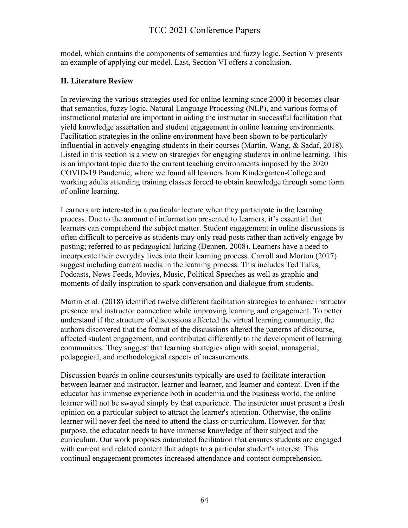model, which contains the components of semantics and fuzzy logic. Section V presents an example of applying our model. Last, Section VI offers a conclusion.

### **II. Literature Review**

In reviewing the various strategies used for online learning since 2000 it becomes clear that semantics, fuzzy logic, Natural Language Processing (NLP), and various forms of instructional material are important in aiding the instructor in successful facilitation that yield knowledge assertation and student engagement in online learning environments. Facilitation strategies in the online environment have been shown to be particularly influential in actively engaging students in their courses (Martin, Wang, & Sadaf, 2018). Listed in this section is a view on strategies for engaging students in online learning. This is an important topic due to the current teaching environments imposed by the 2020 COVID-19 Pandemic, where we found all learners from Kindergarten-College and working adults attending training classes forced to obtain knowledge through some form of online learning.

Learners are interested in a particular lecture when they participate in the learning process. Due to the amount of information presented to learners, it's essential that learners can comprehend the subject matter. Student engagement in online discussions is often difficult to perceive as students may only read posts rather than actively engage by posting; referred to as pedagogical lurking (Dennen, 2008). Learners have a need to incorporate their everyday lives into their learning process. Carroll and Morton (2017) suggest including current media in the learning process. This includes Ted Talks, Podcasts, News Feeds, Movies, Music, Political Speeches as well as graphic and moments of daily inspiration to spark conversation and dialogue from students.

Martin et al. (2018) identified twelve different facilitation strategies to enhance instructor presence and instructor connection while improving learning and engagement. To better understand if the structure of discussions affected the virtual learning community, the authors discovered that the format of the discussions altered the patterns of discourse, affected student engagement, and contributed differently to the development of learning communities. They suggest that learning strategies align with social, managerial, pedagogical, and methodological aspects of measurements.

Discussion boards in online courses/units typically are used to facilitate interaction between learner and instructor, learner and learner, and learner and content. Even if the educator has immense experience both in academia and the business world, the online learner will not be swayed simply by that experience. The instructor must present a fresh opinion on a particular subject to attract the learner's attention. Otherwise, the online learner will never feel the need to attend the class or curriculum. However, for that purpose, the educator needs to have immense knowledge of their subject and the curriculum. Our work proposes automated facilitation that ensures students are engaged with current and related content that adapts to a particular student's interest. This continual engagement promotes increased attendance and content comprehension.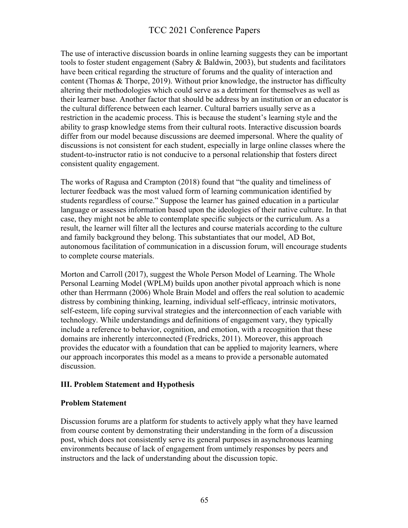The use of interactive discussion boards in online learning suggests they can be important tools to foster student engagement (Sabry & Baldwin, 2003), but students and facilitators have been critical regarding the structure of forums and the quality of interaction and content (Thomas & Thorpe, 2019). Without prior knowledge, the instructor has difficulty altering their methodologies which could serve as a detriment for themselves as well as their learner base. Another factor that should be address by an institution or an educator is the cultural difference between each learner. Cultural barriers usually serve as a restriction in the academic process. This is because the student's learning style and the ability to grasp knowledge stems from their cultural roots. Interactive discussion boards differ from our model because discussions are deemed impersonal. Where the quality of discussions is not consistent for each student, especially in large online classes where the student-to-instructor ratio is not conducive to a personal relationship that fosters direct consistent quality engagement.

The works of Ragusa and Crampton (2018) found that "the quality and timeliness of lecturer feedback was the most valued form of learning communication identified by students regardless of course." Suppose the learner has gained education in a particular language or assesses information based upon the ideologies of their native culture. In that case, they might not be able to contemplate specific subjects or the curriculum. As a result, the learner will filter all the lectures and course materials according to the culture and family background they belong. This substantiates that our model, AD Bot, autonomous facilitation of communication in a discussion forum, will encourage students to complete course materials.

Morton and Carroll (2017), suggest the Whole Person Model of Learning. The Whole Personal Learning Model (WPLM) builds upon another pivotal approach which is none other than Herrmann (2006) Whole Brain Model and offers the real solution to academic distress by combining thinking, learning, individual self-efficacy, intrinsic motivators, self-esteem, life coping survival strategies and the interconnection of each variable with technology. While understandings and definitions of engagement vary, they typically include a reference to behavior, cognition, and emotion, with a recognition that these domains are inherently interconnected (Fredricks, 2011). Moreover, this approach provides the educator with a foundation that can be applied to majority learners, where our approach incorporates this model as a means to provide a personable automated discussion.

#### **III. Problem Statement and Hypothesis**

#### **Problem Statement**

Discussion forums are a platform for students to actively apply what they have learned from course content by demonstrating their understanding in the form of a discussion post, which does not consistently serve its general purposes in asynchronous learning environments because of lack of engagement from untimely responses by peers and instructors and the lack of understanding about the discussion topic.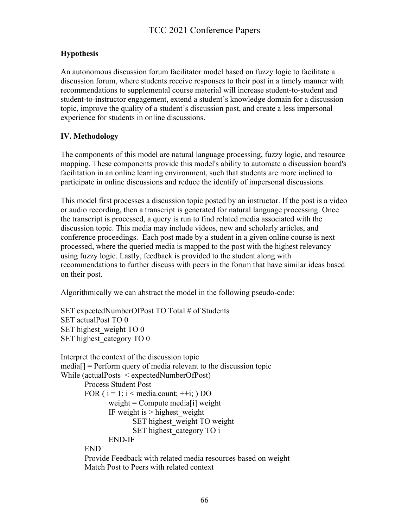## **Hypothesis**

An autonomous discussion forum facilitator model based on fuzzy logic to facilitate a discussion forum, where students receive responses to their post in a timely manner with recommendations to supplemental course material will increase student-to-student and student-to-instructor engagement, extend a student's knowledge domain for a discussion topic, improve the quality of a student's discussion post, and create a less impersonal experience for students in online discussions.

### **IV. Methodology**

The components of this model are natural language processing, fuzzy logic, and resource mapping. These components provide this model's ability to automate a discussion board's facilitation in an online learning environment, such that students are more inclined to participate in online discussions and reduce the identify of impersonal discussions.

This model first processes a discussion topic posted by an instructor. If the post is a video or audio recording, then a transcript is generated for natural language processing. Once the transcript is processed, a query is run to find related media associated with the discussion topic. This media may include videos, new and scholarly articles, and conference proceedings. Each post made by a student in a given online course is next processed, where the queried media is mapped to the post with the highest relevancy using fuzzy logic. Lastly, feedback is provided to the student along with recommendations to further discuss with peers in the forum that have similar ideas based on their post.

Algorithmically we can abstract the model in the following pseudo-code:

SET expectedNumberOfPost TO Total # of Students SET actualPost TO 0 SET highest weight TO 0 SET highest category TO 0

```
Interpret the context of the discussion topic
media[] = Perform query of media relevant to the discussion topic
While (actualPosts < expectedNumberOfPost)
       Process Student Post
       FOR (i = 1; i < media.count; ++i; ) DO
              weight = Compute media[i] weight
              IF weight is > highest weight
                     SET highest weight TO weight
                     SET highest category TO i
              END-IF
       END
       Provide Feedback with related media resources based on weight
       Match Post to Peers with related context
```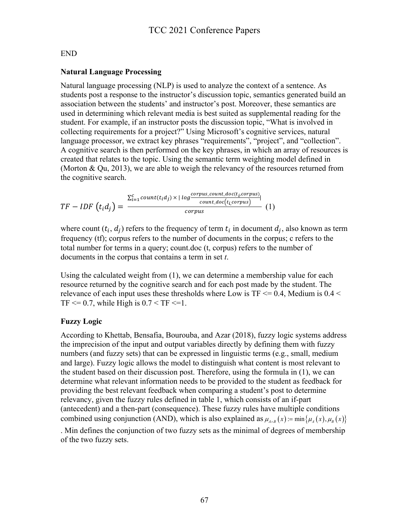### END

### **Natural Language Processing**

Natural language processing (NLP) is used to analyze the context of a sentence. As students post a response to the instructor's discussion topic, semantics generated build an association between the students' and instructor's post. Moreover, these semantics are used in determining which relevant media is best suited as supplemental reading for the student. For example, if an instructor posts the discussion topic, "What is involved in collecting requirements for a project?" Using Microsoft's cognitive services, natural language processor, we extract key phrases "requirements", "project", and "collection". A cognitive search is then performed on the key phrases, in which an array of resources is created that relates to the topic. Using the semantic term weighting model defined in (Morton & Qu, 2013), we are able to weigh the relevancy of the resources returned from the cognitive search.

$$
TF - IDF\left(t_i d_j\right) = \frac{\sum_{i=1}^{c} count(t_i d_j) \times |log \frac{corpus\_count\_doc(t_i, corpus)}{count\_doc(t_i, corpus)}}{corpus} \tag{1}
$$

where count  $(t_i, d_i)$  refers to the frequency of term  $t_i$  in document  $d_i$ , also known as term frequency (tf); corpus refers to the number of documents in the corpus; c refers to the total number for terms in a query; count.doc (t, corpus) refers to the number of documents in the corpus that contains a term in set *t*.

Using the calculated weight from (1), we can determine a membership value for each resource returned by the cognitive search and for each post made by the student. The relevance of each input uses these thresholds where Low is  $TF \le 0.4$ , Medium is 0.4  $\le$ TF  $\leq$  0.7, while High is 0.7  $\leq$  TF  $\leq$  1.

### **Fuzzy Logic**

According to Khettab, Bensafia, Bourouba, and Azar (2018), fuzzy logic systems address the imprecision of the input and output variables directly by defining them with fuzzy numbers (and fuzzy sets) that can be expressed in linguistic terms (e.g., small, medium and large). Fuzzy logic allows the model to distinguish what content is most relevant to the student based on their discussion post. Therefore, using the formula in (1), we can determine what relevant information needs to be provided to the student as feedback for providing the best relevant feedback when comparing a student's post to determine relevancy, given the fuzzy rules defined in table 1, which consists of an if-part (antecedent) and a then-part (consequence). These fuzzy rules have multiple conditions combined using conjunction (AND), which is also explained as  $\mu_{A \wedge B}(x) = \min{\{\mu_A(x), \mu_B(x)\}}$ 

. Min defines the conjunction of two fuzzy sets as the minimal of degrees of membership of the two fuzzy sets.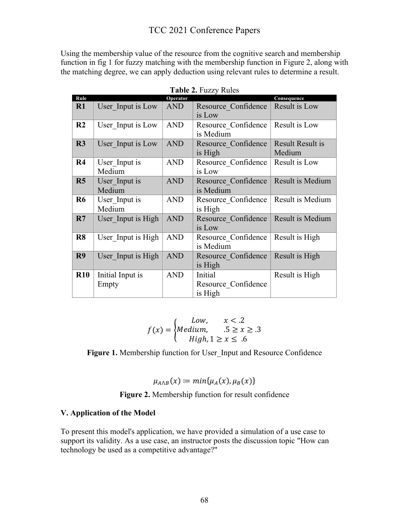Using the membership value of the resource from the cognitive search and membership function in fig 1 for fuzzy matching with the membership function in Figure 2, along with the matching degree, we can apply deduction using relevant rules to determine a result.

| Rule           |                           | Operator   |                                           | Consequence                       |
|----------------|---------------------------|------------|-------------------------------------------|-----------------------------------|
| R1             | User Input is Low         | <b>AND</b> | Resource Confidence<br>is Low             | Result is Low                     |
| R <sub>2</sub> | User Input is Low         | <b>AND</b> | Resource Confidence<br>is Medium          | Result is Low                     |
| R3             | User Input is Low         | <b>AND</b> | Resource Confidence<br>is High            | <b>Result Result is</b><br>Medium |
| $\mathbf{R}4$  | User Input is<br>Medium   | <b>AND</b> | Resource Confidence<br>is Low             | Result is Low                     |
| R5             | User Input is<br>Medium   | <b>AND</b> | Resource Confidence<br>is Medium          | Result is Medium                  |
| <b>R6</b>      | User Input is<br>Medium   | <b>AND</b> | Resource Confidence<br>is High            | Result is Medium                  |
| R7             | User Input is High        | <b>AND</b> | Resource Confidence<br>is Low             | Result is Medium                  |
| R <sub>8</sub> | User Input is High        | <b>AND</b> | Resource Confidence<br>is Medium          | Result is High                    |
| R9             | User Input is High        | <b>AND</b> | Resource Confidence<br>is High            | Result is High                    |
| $\mathbf{R}10$ | Initial Input is<br>Empty | <b>AND</b> | Initial<br>Resource Confidence<br>is High | Result is High                    |

**Table 2.** Fuzzy Rules

$$
f(x) = \begin{cases} Low, & x < .2 \\ Medium, & .5 \ge x \ge .3 \\ High, 1 \ge x \le .6 \end{cases}
$$

Figure 1. Membership function for User Input and Resource Confidence

$$
\mu_{A\wedge B}(x) \coloneqq \min\{\mu_A(x), \mu_B(x)\}\
$$

**Figure 2.** Membership function for result confidence

#### **V. Application of the Model**

To present this model's application, we have provided a simulation of a use case to support its validity. As a use case, an instructor posts the discussion topic "How can technology be used as a competitive advantage?"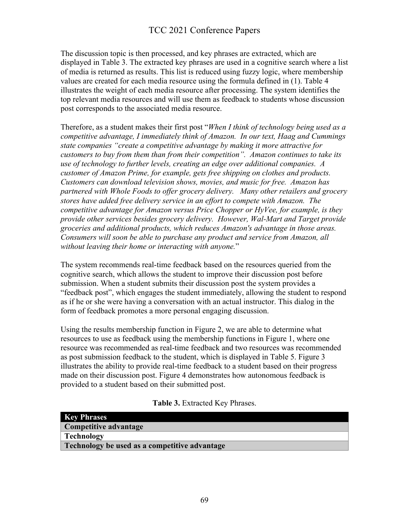The discussion topic is then processed, and key phrases are extracted, which are displayed in Table 3. The extracted key phrases are used in a cognitive search where a list of media is returned as results. This list is reduced using fuzzy logic, where membership values are created for each media resource using the formula defined in (1). Table 4 illustrates the weight of each media resource after processing. The system identifies the top relevant media resources and will use them as feedback to students whose discussion post corresponds to the associated media resource.

Therefore, as a student makes their first post "*When I think of technology being used as a competitive advantage, I immediately think of Amazon. In our text, Haag and Cummings state companies "create a competitive advantage by making it more attractive for customers to buy from them than from their competition". Amazon continues to take its use of technology to further levels, creating an edge over additional companies. A customer of Amazon Prime, for example, gets free shipping on clothes and products. Customers can download television shows, movies, and music for free. Amazon has partnered with Whole Foods to offer grocery delivery. Many other retailers and grocery stores have added free delivery service in an effort to compete with Amazon. The competitive advantage for Amazon versus Price Chopper or HyVee, for example, is they provide other services besides grocery delivery. However, Wal-Mart and Target provide groceries and additional products, which reduces Amazon's advantage in those areas. Consumers will soon be able to purchase any product and service from Amazon, all without leaving their home or interacting with anyone.*"

The system recommends real-time feedback based on the resources queried from the cognitive search, which allows the student to improve their discussion post before submission. When a student submits their discussion post the system provides a "feedback post", which engages the student immediately, allowing the student to respond as if he or she were having a conversation with an actual instructor. This dialog in the form of feedback promotes a more personal engaging discussion.

Using the results membership function in Figure 2, we are able to determine what resources to use as feedback using the membership functions in Figure 1, where one resource was recommended as real-time feedback and two resources was recommended as post submission feedback to the student, which is displayed in Table 5. Figure 3 illustrates the ability to provide real-time feedback to a student based on their progress made on their discussion post. Figure 4 demonstrates how autonomous feedback is provided to a student based on their submitted post.

#### **Table 3.** Extracted Key Phrases.

| <b>Key Phrases</b>                            |
|-----------------------------------------------|
| Competitive advantage                         |
| Technology                                    |
| Technology be used as a competitive advantage |
|                                               |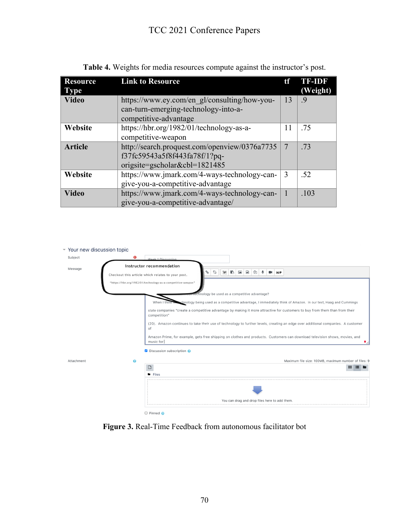| <b>Resource</b><br><b>Type</b> | <b>Link to Resource</b>                                                              | tf | <b>TE-IDR</b><br>(Weight) |
|--------------------------------|--------------------------------------------------------------------------------------|----|---------------------------|
| <b>Video</b>                   | https://www.ey.com/en gl/consulting/how-you-<br>can-turn-emerging-technology-into-a- |    | .9                        |
|                                | competitive-advantage                                                                |    |                           |
| Website                        | https://hbr.org/1982/01/technology-as-a-                                             | 11 | .75                       |
|                                | competitive-weapon                                                                   |    |                           |
| <b>Article</b>                 | http://search.proquest.com/openview/0376a7735                                        | 7  | .73                       |
|                                | f37fc59543a5f8f443fa78f/1?pq-                                                        |    |                           |
|                                | origsite=gscholar&cbl= $1821485$                                                     |    |                           |
| Website                        | https://www.jmark.com/4-ways-technology-can-                                         | 3  | .52                       |
|                                | give-you-a-competitive-advantage                                                     |    |                           |
| <b>Video</b>                   | https://www.jmark.com/4-ways-technology-can-                                         |    | .103                      |
|                                | give-you-a-competitive-advantage/                                                    |    |                           |

**Table 4.** Weights for media resources compute against the instructor's post.



**Figure 3.** Real-Time Feedback from autonomous facilitator bot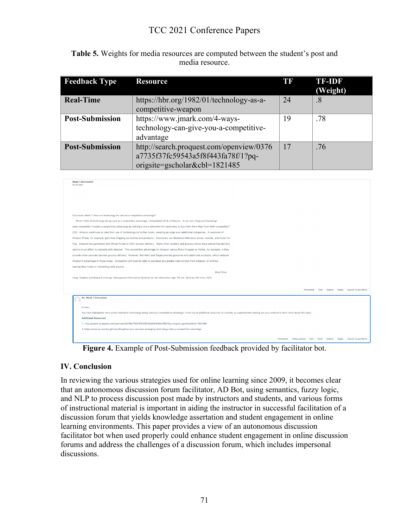| <b>Table 5.</b> Weights for media resources are computed between the student's post and |
|-----------------------------------------------------------------------------------------|
| media resource.                                                                         |

| <b>Feedback Type</b>   | <b>Resource</b>                          | TR | <b>TF-IDF</b><br>(Weight) |
|------------------------|------------------------------------------|----|---------------------------|
| <b>Real-Time</b>       | https://hbr.org/1982/01/technology-as-a- | 24 | .8                        |
|                        | competitive-weapon                       |    |                           |
| <b>Post-Submission</b> | https://www.jmark.com/4-ways-            | 19 | .78                       |
|                        | technology-can-give-you-a-competitive-   |    |                           |
|                        | advantage                                |    |                           |
| <b>Post-Submission</b> | http://search.proquest.com/openview/0376 | 17 | .76                       |
|                        | a7735f37fc59543a5f8f443fa78f/1?pq-       |    |                           |
|                        | origsite=gscholar&cbl= $1821485$         |    |                           |



**Figure 4.** Example of Post-Submission feedback provided by facilitator bot.

#### **IV. Conclusion**

In reviewing the various strategies used for online learning since 2009, it becomes clear that an autonomous discussion forum facilitator, AD Bot, using semantics, fuzzy logic, and NLP to process discussion post made by instructors and students, and various forms of instructional material is important in aiding the instructor in successful facilitation of a discussion forum that yields knowledge assertation and student engagement in online learning environments. This paper provides a view of an autonomous discussion facilitator bot when used properly could enhance student engagement in online discussion forums and address the challenges of a discussion forum, which includes impersonal discussions.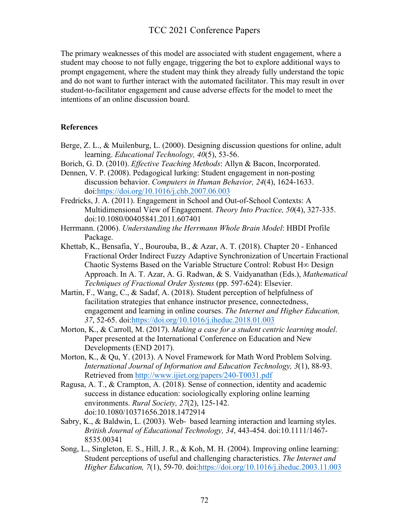The primary weaknesses of this model are associated with student engagement, where a student may choose to not fully engage, triggering the bot to explore additional ways to prompt engagement, where the student may think they already fully understand the topic and do not want to further interact with the automated facilitator. This may result in over student-to-facilitator engagement and cause adverse effects for the model to meet the intentions of an online discussion board.

#### **References**

- Berge, Z. L., & Muilenburg, L. (2000). Designing discussion questions for online, adult learning. *Educational Technology, 40*(5), 53-56.
- Borich, G. D. (2010). *Effective Teaching Methods*: Allyn & Bacon, Incorporated.
- Dennen, V. P. (2008). Pedagogical lurking: Student engagement in non-posting discussion behavior. *Computers in Human Behavior, 24*(4), 1624-1633. doi:https://doi.org/10.1016/j.chb.2007.06.003
- Fredricks, J. A. (2011). Engagement in School and Out-of-School Contexts: A Multidimensional View of Engagement. *Theory Into Practice, 50*(4), 327-335. doi:10.1080/00405841.2011.607401
- Herrmann. (2006). *Understanding the Herrmann Whole Brain Model*: HBDI Profile Package.
- Khettab, K., Bensafia, Y., Bourouba, B., & Azar, A. T. (2018). Chapter 20 Enhanced Fractional Order Indirect Fuzzy Adaptive Synchronization of Uncertain Fractional Chaotic Systems Based on the Variable Structure Control: Robust H∞ Design Approach. In A. T. Azar, A. G. Radwan, & S. Vaidyanathan (Eds.), *Mathematical Techniques of Fractional Order Systems* (pp. 597-624): Elsevier.
- Martin, F., Wang, C., & Sadaf, A. (2018). Student perception of helpfulness of facilitation strategies that enhance instructor presence, connectedness, engagement and learning in online courses. *The Internet and Higher Education, 37*, 52-65. doi:https://doi.org/10.1016/j.iheduc.2018.01.003
- Morton, K., & Carroll, M. (2017). *Making a case for a student centric learning model*. Paper presented at the International Conference on Education and New Developments (END 2017).
- Morton, K., & Qu, Y. (2013). A Novel Framework for Math Word Problem Solving. *International Journal of Information and Education Technology, 3*(1), 88-93. Retrieved from http://www.ijiet.org/papers/240-T0031.pdf
- Ragusa, A. T., & Crampton, A. (2018). Sense of connection, identity and academic success in distance education: sociologically exploring online learning environments. *Rural Society, 27*(2), 125-142. doi:10.1080/10371656.2018.1472914
- Sabry, K., & Baldwin, L. (2003). Web- based learning interaction and learning styles. *British Journal of Educational Technology, 34*, 443-454. doi:10.1111/1467- 8535.00341
- Song, L., Singleton, E. S., Hill, J. R., & Koh, M. H. (2004). Improving online learning: Student perceptions of useful and challenging characteristics. *The Internet and Higher Education, 7*(1), 59-70. doi:https://doi.org/10.1016/j.iheduc.2003.11.003